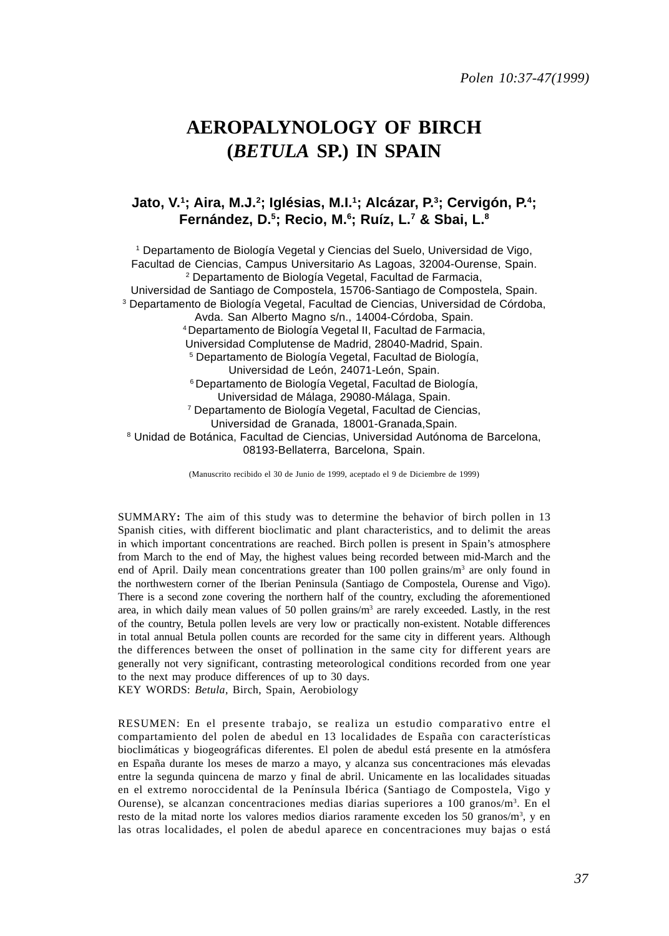# **AEROPALYNOLOGY OF BIRCH (***BETULA* **SP.) IN SPAIN**

# **Jato, V.1 ; Aira, M.J.2 ; Iglésias, M.I.1; Alcázar, P.3 ; Cervigón, P.4; Fernández, D.5 ; Recio, M.6 ; Ruíz, L.7 & Sbai, L.8**

1 Departamento de Biología Vegetal y Ciencias del Suelo, Universidad de Vigo, Facultad de Ciencias, Campus Universitario As Lagoas, 32004-Ourense, Spain. 2 Departamento de Biología Vegetal, Facultad de Farmacia, Universidad de Santiago de Compostela, 15706-Santiago de Compostela, Spain. 3 Departamento de Biología Vegetal, Facultad de Ciencias, Universidad de Córdoba, Avda. San Alberto Magno s/n., 14004-Córdoba, Spain. 4 Departamento de Biología Vegetal II, Facultad de Farmacia, Universidad Complutense de Madrid, 28040-Madrid, Spain. 5 Departamento de Biología Vegetal, Facultad de Biología, Universidad de León, 24071-León, Spain. 6 Departamento de Biología Vegetal, Facultad de Biología, Universidad de Málaga, 29080-Málaga, Spain. 7 Departamento de Biología Vegetal, Facultad de Ciencias, Universidad de Granada, 18001-Granada,Spain. 8 Unidad de Botánica, Facultad de Ciencias, Universidad Autónoma de Barcelona, 08193-Bellaterra, Barcelona, Spain.

(Manuscrito recibido el 30 de Junio de 1999, aceptado el 9 de Diciembre de 1999)

SUMMARY**:** The aim of this study was to determine the behavior of birch pollen in 13 Spanish cities, with different bioclimatic and plant characteristics, and to delimit the areas in which important concentrations are reached. Birch pollen is present in Spain's atmosphere from March to the end of May, the highest values being recorded between mid-March and the end of April. Daily mean concentrations greater than 100 pollen grains/m<sup>3</sup> are only found in the northwestern corner of the Iberian Peninsula (Santiago de Compostela, Ourense and Vigo). There is a second zone covering the northern half of the country, excluding the aforementioned area, in which daily mean values of 50 pollen grains/ $m<sup>3</sup>$  are rarely exceeded. Lastly, in the rest of the country, Betula pollen levels are very low or practically non-existent. Notable differences in total annual Betula pollen counts are recorded for the same city in different years. Although the differences between the onset of pollination in the same city for different years are generally not very significant, contrasting meteorological conditions recorded from one year to the next may produce differences of up to 30 days.

KEY WORDS: *Betula*, Birch, Spain, Aerobiology

RESUMEN: En el presente trabajo, se realiza un estudio comparativo entre el compartamiento del polen de abedul en 13 localidades de España con características bioclimáticas y biogeográficas diferentes. El polen de abedul está presente en la atmósfera en España durante los meses de marzo a mayo, y alcanza sus concentraciones más elevadas entre la segunda quincena de marzo y final de abril. Unicamente en las localidades situadas en el extremo noroccidental de la Península Ibérica (Santiago de Compostela, Vigo y Ourense), se alcanzan concentraciones medias diarias superiores a  $100 \text{ granos/m}^3$ . En el resto de la mitad norte los valores medios diarios raramente exceden los 50 granos/m<sup>3</sup>, y en las otras localidades, el polen de abedul aparece en concentraciones muy bajas o está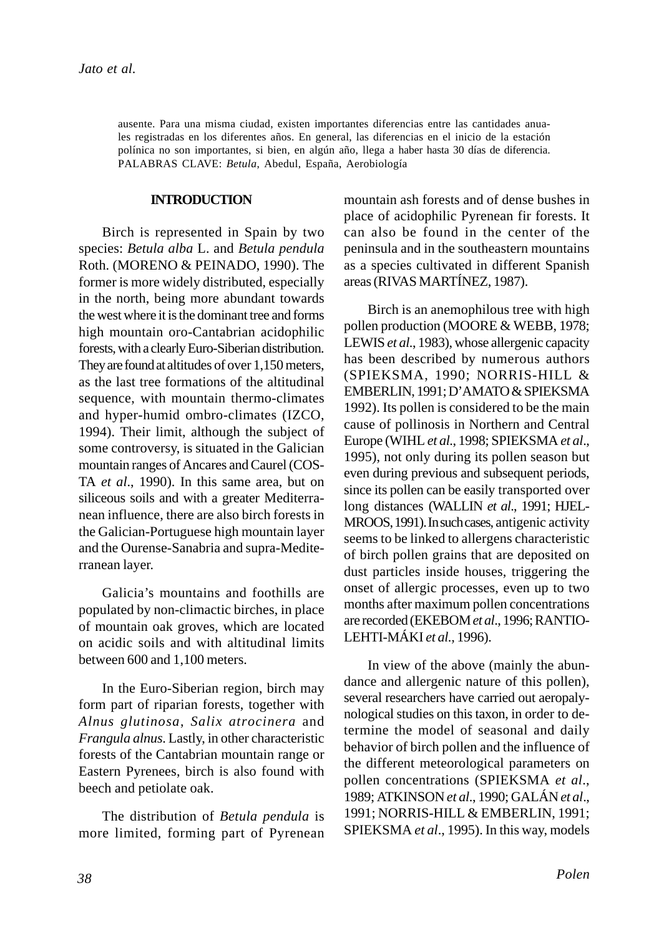ausente. Para una misma ciudad, existen importantes diferencias entre las cantidades anuales registradas en los diferentes años. En general, las diferencias en el inicio de la estación polínica no son importantes, si bien, en algún año, llega a haber hasta 30 días de diferencia. PALABRAS CLAVE: *Betula*, Abedul, España, Aerobiología

## **INTRODUCTION**

Birch is represented in Spain by two species: *Betula alba* L. and *Betula pendula* Roth. (MORENO & PEINADO, 1990). The former is more widely distributed, especially in the north, being more abundant towards the west where it is the dominant tree and forms high mountain oro-Cantabrian acidophilic forests, with a clearly Euro-Siberian distribution. They are found at altitudes of over 1,150 meters, as the last tree formations of the altitudinal sequence, with mountain thermo-climates and hyper-humid ombro-climates (IZCO, 1994). Their limit, although the subject of some controversy, is situated in the Galician mountain ranges of Ancares and Caurel (COS-TA *et al*., 1990). In this same area, but on siliceous soils and with a greater Mediterranean influence, there are also birch forests in the Galician-Portuguese high mountain layer and the Ourense-Sanabria and supra-Mediterranean layer.

Galicia's mountains and foothills are populated by non-climactic birches, in place of mountain oak groves, which are located on acidic soils and with altitudinal limits between 600 and 1,100 meters.

In the Euro-Siberian region, birch may form part of riparian forests, together with *Alnus glutinosa*, *Salix atrocinera* and *Frangula alnus*. Lastly, in other characteristic forests of the Cantabrian mountain range or Eastern Pyrenees, birch is also found with beech and petiolate oak.

The distribution of *Betula pendula* is more limited, forming part of Pyrenean mountain ash forests and of dense bushes in place of acidophilic Pyrenean fir forests. It can also be found in the center of the peninsula and in the southeastern mountains as a species cultivated in different Spanish areas (RIVAS MARTÍNEZ, 1987).

Birch is an anemophilous tree with high pollen production (MOORE & WEBB, 1978; LEWIS *et al*., 1983), whose allergenic capacity has been described by numerous authors (SPIEKSMA, 1990; NORRIS-HILL & EMBERLIN, 1991; D'AMATO & SPIEKSMA 1992). Its pollen is considered to be the main cause of pollinosis in Northern and Central Europe (WIHL *et al*., 1998; SPIEKSMA *et al*., 1995), not only during its pollen season but even during previous and subsequent periods, since its pollen can be easily transported over long distances (WALLIN *et al*., 1991; HJEL-MROOS, 1991). In such cases, antigenic activity seems to be linked to allergens characteristic of birch pollen grains that are deposited on dust particles inside houses, triggering the onset of allergic processes, even up to two months after maximum pollen concentrations are recorded (EKEBOM *et al*., 1996; RANTIO-LEHTI-MÁKI *et al.,* 1996).

In view of the above (mainly the abundance and allergenic nature of this pollen), several researchers have carried out aeropalynological studies on this taxon, in order to determine the model of seasonal and daily behavior of birch pollen and the influence of the different meteorological parameters on pollen concentrations (SPIEKSMA *et al*., 1989; ATKINSON *et al*., 1990; GALÁN *et al*., 1991; NORRIS-HILL & EMBERLIN, 1991; SPIEKSMA *et al*., 1995). In this way, models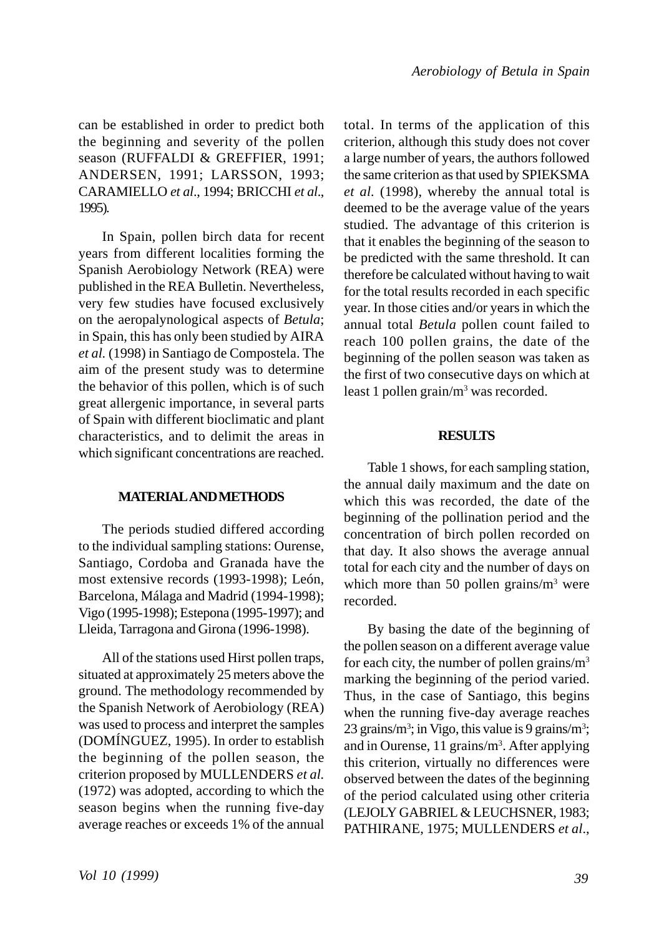can be established in order to predict both the beginning and severity of the pollen season (RUFFALDI & GREFFIER, 1991; ANDERSEN, 1991; LARSSON, 1993; CARAMIELLO *et al*., 1994; BRICCHI *et al*., 1995).

In Spain, pollen birch data for recent years from different localities forming the Spanish Aerobiology Network (REA) were published in the REA Bulletin. Nevertheless, very few studies have focused exclusively on the aeropalynological aspects of *Betula*; in Spain, this has only been studied by AIRA *et al.* (1998) in Santiago de Compostela. The aim of the present study was to determine the behavior of this pollen, which is of such great allergenic importance, in several parts of Spain with different bioclimatic and plant characteristics, and to delimit the areas in which significant concentrations are reached.

# **MATERIAL AND METHODS**

The periods studied differed according to the individual sampling stations: Ourense, Santiago, Cordoba and Granada have the most extensive records (1993-1998); León, Barcelona, Málaga and Madrid (1994-1998); Vigo (1995-1998); Estepona (1995-1997); and Lleida, Tarragona and Girona (1996-1998).

All of the stations used Hirst pollen traps, situated at approximately 25 meters above the ground. The methodology recommended by the Spanish Network of Aerobiology (REA) was used to process and interpret the samples (DOMÍNGUEZ, 1995). In order to establish the beginning of the pollen season, the criterion proposed by MULLENDERS *et al.* (1972) was adopted, according to which the season begins when the running five-day average reaches or exceeds 1% of the annual total. In terms of the application of this criterion, although this study does not cover a large number of years, the authors followed the same criterion as that used by SPIEKSMA *et al.* (1998), whereby the annual total is deemed to be the average value of the years studied. The advantage of this criterion is that it enables the beginning of the season to be predicted with the same threshold. It can therefore be calculated without having to wait for the total results recorded in each specific year. In those cities and/or years in which the annual total *Betula* pollen count failed to reach 100 pollen grains, the date of the beginning of the pollen season was taken as the first of two consecutive days on which at least 1 pollen grain/m<sup>3</sup> was recorded.

#### **RESULTS**

Table 1 shows, for each sampling station, the annual daily maximum and the date on which this was recorded, the date of the beginning of the pollination period and the concentration of birch pollen recorded on that day. It also shows the average annual total for each city and the number of days on which more than 50 pollen grains/ $m<sup>3</sup>$  were recorded.

By basing the date of the beginning of the pollen season on a different average value for each city, the number of pollen grains/ $m<sup>3</sup>$ marking the beginning of the period varied. Thus, in the case of Santiago, this begins when the running five-day average reaches 23 grains/ $m^3$ ; in Vigo, this value is 9 grains/ $m^3$ ; and in Ourense, 11 grains/m<sup>3</sup>. After applying this criterion, virtually no differences were observed between the dates of the beginning of the period calculated using other criteria (LEJOLY GABRIEL & LEUCHSNER, 1983; PATHIRANE, 1975; MULLENDERS *et al*.,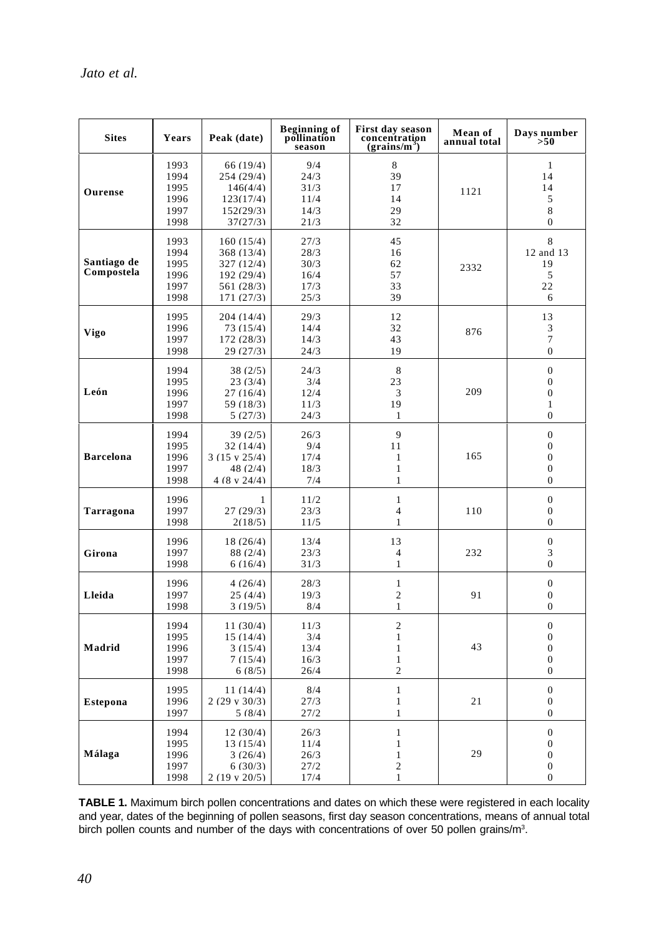| <b>Sites</b>              | Years                                        | Peak (date)                                                                            | <b>Beginning of</b><br>pollination<br>season | First day season<br>concentration<br>(grains/m <sup>3</sup> )                    | Mean of<br>annual total | Days number<br>>50                                                                           |
|---------------------------|----------------------------------------------|----------------------------------------------------------------------------------------|----------------------------------------------|----------------------------------------------------------------------------------|-------------------------|----------------------------------------------------------------------------------------------|
| Ourense                   | 1993<br>1994<br>1995<br>1996<br>1997<br>1998 | 66(19/4)<br>254 (29/4)<br>146(4/4)<br>123(17/4)<br>152(29/3)<br>37(27/3)               | 9/4<br>24/3<br>31/3<br>11/4<br>14/3<br>21/3  | 8<br>39<br>17<br>14<br>29<br>32                                                  | 1121                    | $\mathbf{1}$<br>14<br>14<br>5<br>8<br>$\mathbf{0}$                                           |
| Santiago de<br>Compostela | 1993<br>1994<br>1995<br>1996<br>1997<br>1998 | 160(15/4)<br>368(13/4)<br>327(12/4)<br>192 (29/4)<br>561 (28/3)<br>171 (27/3)          | 27/3<br>28/3<br>30/3<br>16/4<br>17/3<br>25/3 | 45<br>16<br>62<br>57<br>33<br>39                                                 | 2332                    | 8<br>12 and 13<br>19<br>5<br>22<br>6                                                         |
| Vigo                      | 1995<br>1996<br>1997<br>1998                 | 204 (14/4)<br>73 (15/4)<br>172(28/3)<br>29 (27/3)                                      | 29/3<br>14/4<br>14/3<br>24/3                 | 12<br>32<br>43<br>19                                                             | 876                     | 13<br>3<br>$\overline{7}$<br>$\mathbf{0}$                                                    |
| León                      | 1994<br>1995<br>1996<br>1997<br>1998         | 38(2/5)<br>23(3/4)<br>27(16/4)<br>59(18/3)<br>5(27/3)                                  | 24/3<br>3/4<br>12/4<br>11/3<br>24/3          | 8<br>23<br>3<br>19<br>$\mathbf{1}$                                               | 209                     | $\boldsymbol{0}$<br>$\mathbf{0}$<br>$\mathbf{0}$<br>$\mathbf{1}$<br>$\mathbf{0}$             |
| <b>Barcelona</b>          | 1994<br>1995<br>1996<br>1997<br>1998         | 39(2/5)<br>32(14/4)<br>$3(15 \text{ v } 25/4)$<br>48 $(2/4)$<br>$4(8 \text{ v } 24/4)$ | 26/3<br>9/4<br>17/4<br>18/3<br>7/4           | 9<br>11<br>1<br>$\mathbf{1}$<br>$\mathbf{1}$                                     | 165                     | $\overline{0}$<br>$\boldsymbol{0}$<br>$\mathbf{0}$<br>$\mathbf{0}$<br>$\boldsymbol{0}$       |
| Tarragona                 | 1996<br>1997<br>1998                         | 1<br>27(29/3)<br>2(18/5)                                                               | 11/2<br>23/3<br>11/5                         | $\mathbf{1}$<br>$\overline{4}$<br>$\mathbf{1}$                                   | 110                     | $\theta$<br>$\mathbf{0}$<br>$\theta$                                                         |
| Girona                    | 1996<br>1997<br>1998                         | 18 (26/4)<br>88 (2/4)<br>6(16/4)                                                       | 13/4<br>23/3<br>31/3                         | 13<br>$\overline{4}$<br>$\mathbf{1}$                                             | 232                     | $\overline{0}$<br>3<br>$\overline{0}$                                                        |
| Lleida                    | 1996<br>1997<br>1998                         | 4(26/4)<br>25(4/4)<br>3(19/5)                                                          | 28/3<br>19/3<br>8/4                          | $\mathbf{1}$<br>$\overline{c}$<br>1                                              | 91                      | $\boldsymbol{0}$<br>$\mathbf{0}$<br>$\Omega$                                                 |
| Madrid                    | 1994<br>1995<br>1996<br>1997<br>1998         | 11 (30/4)<br>15(14/4)<br>3(15/4)<br>7(15/4)<br>6(8/5)                                  | 11/3<br>3/4<br>13/4<br>16/3<br>26/4          | $\overline{c}$<br>$\mathbf{1}$<br>$\mathbf{1}$<br>$\mathbf{1}$<br>$\overline{c}$ | 43                      | $\overline{0}$<br>$\boldsymbol{0}$<br>$\mathbf{0}$<br>$\boldsymbol{0}$<br>$\mathbf{0}$       |
| Estepona                  | 1995<br>1996<br>1997                         | 11 (14/4)<br>$2(29 \text{ v } 30/3)$<br>5(8/4)                                         | 8/4<br>27/3<br>27/2                          | $\mathbf{1}$<br>$\mathbf{1}$<br>$\mathbf{1}$                                     | 21                      | $\boldsymbol{0}$<br>$\mathbf{0}$<br>$\boldsymbol{0}$                                         |
| Málaga                    | 1994<br>1995<br>1996<br>1997<br>1998         | 12 (30/4)<br>13 (15/4)<br>3(26/4)<br>6(30/3)<br>$2(19 \text{ v } 20/5)$                | 26/3<br>11/4<br>26/3<br>27/2<br>17/4         | $\mathbf{1}$<br>$\mathbf{1}$<br>$\mathbf{1}$<br>$\overline{c}$<br>$\mathbf{1}$   | 29                      | $\boldsymbol{0}$<br>$\boldsymbol{0}$<br>$\boldsymbol{0}$<br>$\boldsymbol{0}$<br>$\mathbf{0}$ |

**TABLE 1.** Maximum birch pollen concentrations and dates on which these were registered in each locality and year, dates of the beginning of pollen seasons, first day season concentrations, means of annual total birch pollen counts and number of the days with concentrations of over 50 pollen grains/m<sup>3</sup>.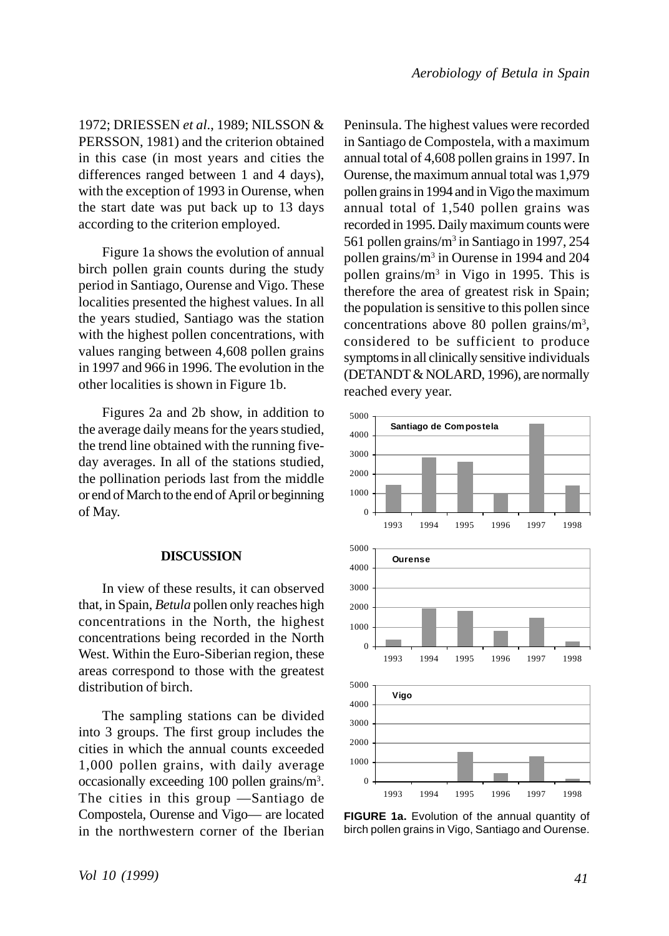1972; DRIESSEN *et al*., 1989; NILSSON & PERSSON, 1981) and the criterion obtained in this case (in most years and cities the differences ranged between 1 and 4 days), with the exception of 1993 in Ourense, when the start date was put back up to 13 days according to the criterion employed.

Figure 1a shows the evolution of annual birch pollen grain counts during the study period in Santiago, Ourense and Vigo. These localities presented the highest values. In all the years studied, Santiago was the station with the highest pollen concentrations, with values ranging between 4,608 pollen grains in 1997 and 966 in 1996. The evolution in the other localities is shown in Figure 1b.

Figures 2a and 2b show, in addition to the average daily means for the years studied, the trend line obtained with the running fiveday averages. In all of the stations studied, the pollination periods last from the middle or end of March to the end of April or beginning of May.

## **DISCUSSION**

In view of these results, it can observed that, in Spain, *Betula* pollen only reaches high concentrations in the North, the highest concentrations being recorded in the North West. Within the Euro-Siberian region, these areas correspond to those with the greatest distribution of birch.

The sampling stations can be divided into 3 groups. The first group includes the cities in which the annual counts exceeded 1,000 pollen grains, with daily average occasionally exceeding 100 pollen grains/m3 . The cities in this group —Santiago de Compostela, Ourense and Vigo— are located in the northwestern corner of the Iberian Peninsula. The highest values were recorded in Santiago de Compostela, with a maximum annual total of 4,608 pollen grains in 1997. In Ourense, the maximum annual total was 1,979 pollen grains in 1994 and in Vigo the maximum annual total of 1,540 pollen grains was recorded in 1995. Daily maximum counts were 561 pollen grains/m<sup>3</sup> in Santiago in 1997, 254 pollen grains/m<sup>3</sup> in Ourense in 1994 and 204 pollen grains/m<sup>3</sup> in Vigo in 1995. This is therefore the area of greatest risk in Spain; the population is sensitive to this pollen since concentrations above 80 pollen grains/m<sup>3</sup>, considered to be sufficient to produce symptoms in all clinically sensitive individuals (DETANDT & NOLARD, 1996), are normally reached every year.



**FIGURE 1a.** Evolution of the annual quantity of birch pollen grains in Vigo, Santiago and Ourense.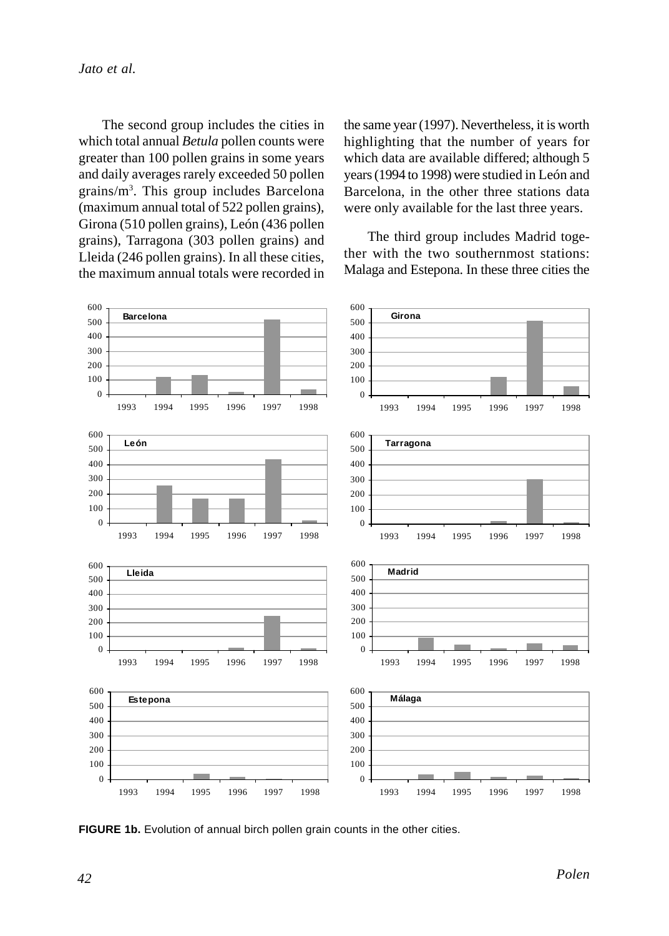The second group includes the cities in which total annual *Betula* pollen counts were greater than 100 pollen grains in some years and daily averages rarely exceeded 50 pollen grains/m3 . This group includes Barcelona (maximum annual total of 522 pollen grains), Girona (510 pollen grains), León (436 pollen grains), Tarragona (303 pollen grains) and Lleida (246 pollen grains). In all these cities, the maximum annual totals were recorded in the same year (1997). Nevertheless, it is worth highlighting that the number of years for which data are available differed; although 5 years (1994 to 1998) were studied in León and Barcelona, in the other three stations data were only available for the last three years.

The third group includes Madrid together with the two southernmost stations: Malaga and Estepona. In these three cities the



**FIGURE 1b.** Evolution of annual birch pollen grain counts in the other cities.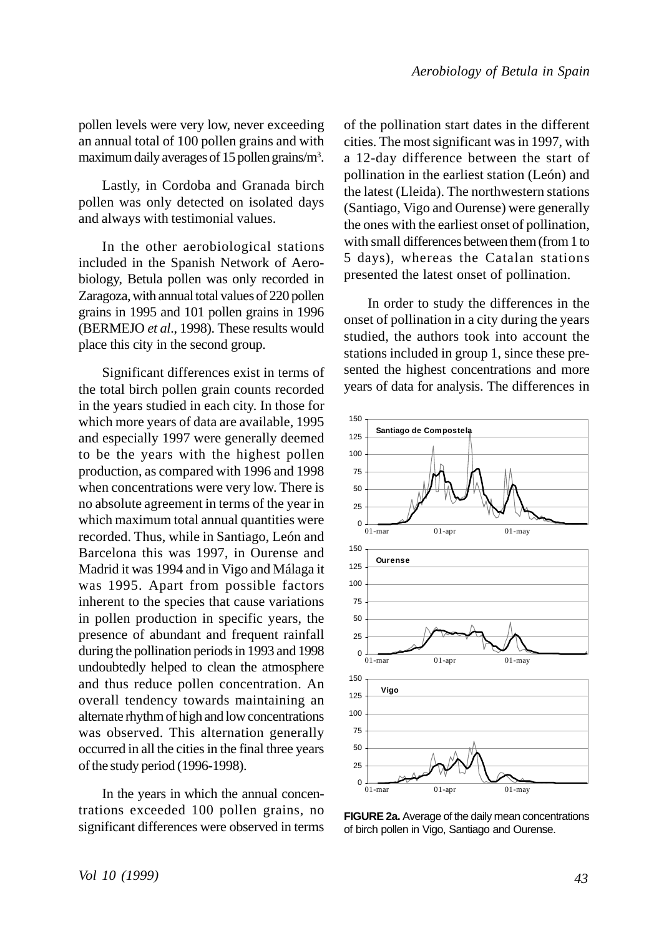pollen levels were very low, never exceeding an annual total of 100 pollen grains and with maximum daily averages of 15 pollen grains/m<sup>3</sup>.

Lastly, in Cordoba and Granada birch pollen was only detected on isolated days and always with testimonial values.

In the other aerobiological stations included in the Spanish Network of Aerobiology, Betula pollen was only recorded in Zaragoza, with annual total values of 220 pollen grains in 1995 and 101 pollen grains in 1996 (BERMEJO *et al*., 1998). These results would place this city in the second group.

Significant differences exist in terms of the total birch pollen grain counts recorded in the years studied in each city. In those for which more years of data are available, 1995 and especially 1997 were generally deemed to be the years with the highest pollen production, as compared with 1996 and 1998 when concentrations were very low. There is no absolute agreement in terms of the year in which maximum total annual quantities were recorded. Thus, while in Santiago, León and Barcelona this was 1997, in Ourense and Madrid it was 1994 and in Vigo and Málaga it was 1995. Apart from possible factors inherent to the species that cause variations in pollen production in specific years, the presence of abundant and frequent rainfall during the pollination periods in 1993 and 1998 undoubtedly helped to clean the atmosphere and thus reduce pollen concentration. An overall tendency towards maintaining an alternate rhythm of high and low concentrations was observed. This alternation generally occurred in all the cities in the final three years of the study period (1996-1998).

In the years in which the annual concentrations exceeded 100 pollen grains, no significant differences were observed in terms of the pollination start dates in the different cities. The most significant was in 1997, with a 12-day difference between the start of pollination in the earliest station (León) and the latest (Lleida). The northwestern stations (Santiago, Vigo and Ourense) were generally the ones with the earliest onset of pollination, with small differences between them (from 1 to 5 days), whereas the Catalan stations presented the latest onset of pollination.

In order to study the differences in the onset of pollination in a city during the years studied, the authors took into account the stations included in group 1, since these presented the highest concentrations and more years of data for analysis. The differences in



**FIGURE 2a.** Average of the daily mean concentrations of birch pollen in Vigo, Santiago and Ourense.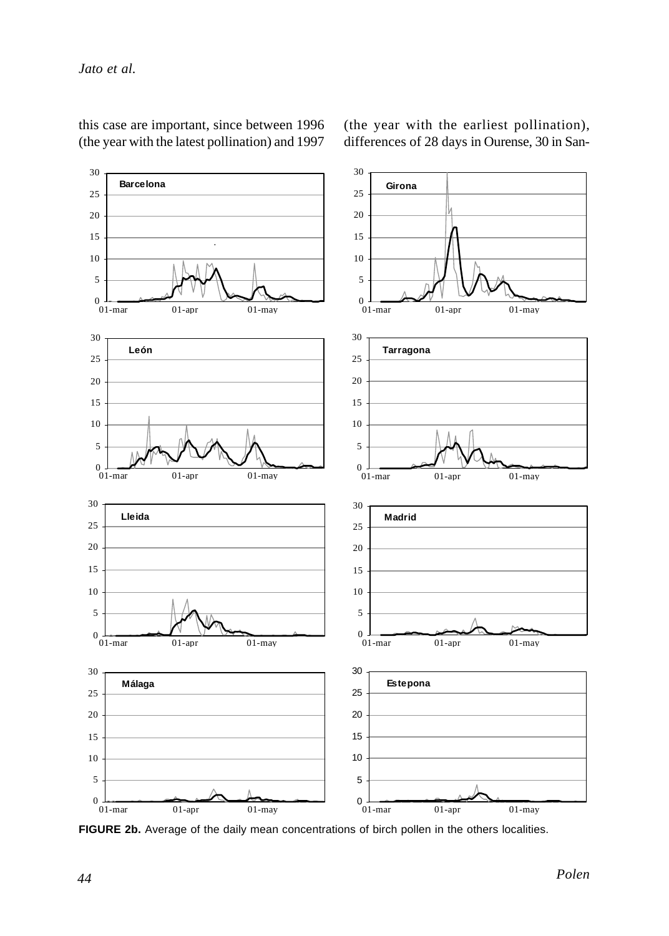

this case are important, since between 1996 (the year with the latest pollination) and 1997

(the year with the earliest pollination), differences of 28 days in Ourense, 30 in San-

FIGURE 2b. Average of the daily mean concentrations of birch pollen in the others localities.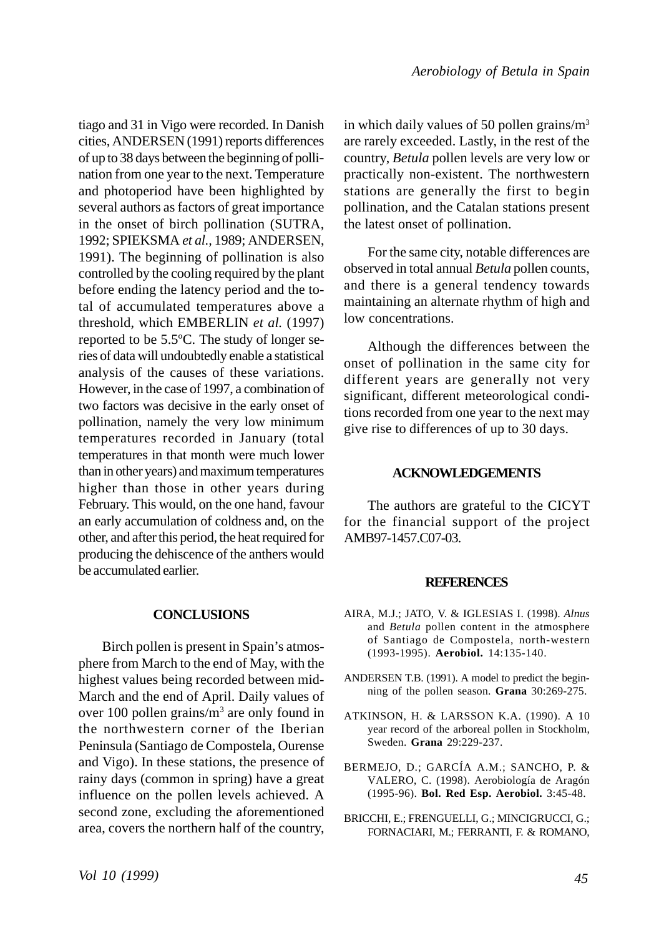tiago and 31 in Vigo were recorded. In Danish cities, ANDERSEN (1991) reports differences of up to 38 days between the beginning of pollination from one year to the next. Temperature and photoperiod have been highlighted by several authors as factors of great importance in the onset of birch pollination (SUTRA, 1992; SPIEKSMA *et al.,* 1989; ANDERSEN, 1991). The beginning of pollination is also controlled by the cooling required by the plant before ending the latency period and the total of accumulated temperatures above a threshold, which EMBERLIN *et al.* (1997) reported to be 5.5ºC. The study of longer series of data will undoubtedly enable a statistical analysis of the causes of these variations. However, in the case of 1997, a combination of two factors was decisive in the early onset of pollination, namely the very low minimum temperatures recorded in January (total temperatures in that month were much lower than in other years) and maximum temperatures higher than those in other years during February. This would, on the one hand, favour an early accumulation of coldness and, on the other, and after this period, the heat required for producing the dehiscence of the anthers would be accumulated earlier.

# **CONCLUSIONS**

Birch pollen is present in Spain's atmosphere from March to the end of May, with the highest values being recorded between mid-March and the end of April. Daily values of over 100 pollen grains/m<sup>3</sup> are only found in the northwestern corner of the Iberian Peninsula (Santiago de Compostela, Ourense and Vigo). In these stations, the presence of rainy days (common in spring) have a great influence on the pollen levels achieved. A second zone, excluding the aforementioned area, covers the northern half of the country,

in which daily values of 50 pollen grains/ $m<sup>3</sup>$ are rarely exceeded. Lastly, in the rest of the country, *Betula* pollen levels are very low or practically non-existent. The northwestern stations are generally the first to begin pollination, and the Catalan stations present the latest onset of pollination.

For the same city, notable differences are observed in total annual *Betula* pollen counts, and there is a general tendency towards maintaining an alternate rhythm of high and low concentrations.

Although the differences between the onset of pollination in the same city for different years are generally not very significant, different meteorological conditions recorded from one year to the next may give rise to differences of up to 30 days.

# **ACKNOWLEDGEMENTS**

The authors are grateful to the CICYT for the financial support of the project AMB97-1457.C07-03.

## **REFERENCES**

- AIRA, M.J.; JATO, V. & IGLESIAS I. (1998). *Alnus* and *Betula* pollen content in the atmosphere of Santiago de Compostela, north-western (1993-1995). **Aerobiol.** 14:135-140.
- ANDERSEN T.B. (1991). A model to predict the beginning of the pollen season. **Grana** 30:269-275.
- ATKINSON, H. & LARSSON K.A. (1990). A 10 year record of the arboreal pollen in Stockholm, Sweden. **Grana** 29:229-237.
- BERMEJO, D.; GARCÍA A.M.; SANCHO, P. & VALERO, C. (1998). Aerobiología de Aragón (1995-96). **Bol. Red Esp. Aerobiol.** 3:45-48.
- BRICCHI, E.; FRENGUELLI, G.; MINCIGRUCCI, G.; FORNACIARI, M.; FERRANTI, F. & ROMANO,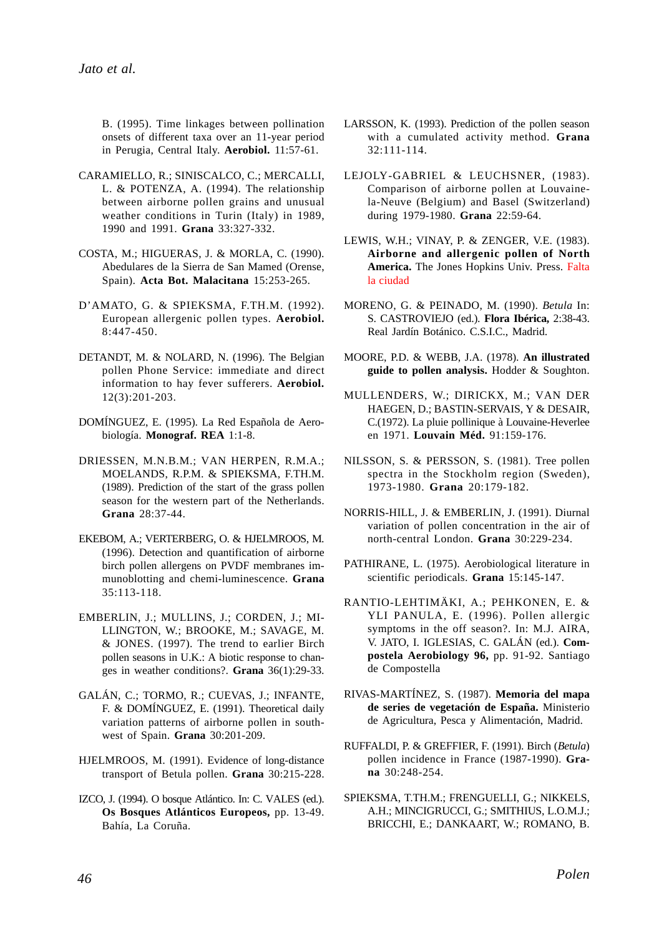B. (1995). Time linkages between pollination onsets of different taxa over an 11-year period in Perugia, Central Italy. **Aerobiol.** 11:57-61.

- CARAMIELLO, R.; SINISCALCO, C.; MERCALLI, L. & POTENZA, A. (1994). The relationship between airborne pollen grains and unusual weather conditions in Turin (Italy) in 1989, 1990 and 1991. **Grana** 33:327-332.
- COSTA, M.; HIGUERAS, J. & MORLA, C. (1990). Abedulares de la Sierra de San Mamed (Orense, Spain). **Acta Bot. Malacitana** 15:253-265.
- D'AMATO, G. & SPIEKSMA, F.TH.M. (1992). European allergenic pollen types. **Aerobiol.** 8:447-450.
- DETANDT, M. & NOLARD, N. (1996). The Belgian pollen Phone Service: immediate and direct information to hay fever sufferers. **Aerobiol.** 12(3):201-203.
- DOMÍNGUEZ, E. (1995). La Red Española de Aerobiología. **Monograf. REA** 1:1-8.
- DRIESSEN, M.N.B.M.; VAN HERPEN, R.M.A.; MOELANDS, R.P.M. & SPIEKSMA, F.TH.M. (1989). Prediction of the start of the grass pollen season for the western part of the Netherlands. **Grana** 28:37-44.
- EKEBOM, A.; VERTERBERG, O. & HJELMROOS, M. (1996). Detection and quantification of airborne birch pollen allergens on PVDF membranes immunoblotting and chemi-luminescence. **Grana** 35:113-118.
- EMBERLIN, J.; MULLINS, J.; CORDEN, J.; MI-LLINGTON, W.; BROOKE, M.; SAVAGE, M. & JONES. (1997). The trend to earlier Birch pollen seasons in U.K.: A biotic response to changes in weather conditions?. **Grana** 36(1):29-33.
- GALÁN, C.; TORMO, R.; CUEVAS, J.; INFANTE, F. & DOMÍNGUEZ, E. (1991). Theoretical daily variation patterns of airborne pollen in southwest of Spain. **Grana** 30:201-209.
- HJELMROOS, M. (1991). Evidence of long-distance transport of Betula pollen. **Grana** 30:215-228.
- IZCO, J. (1994). O bosque Atlántico. In: C. VALES (ed.). **Os Bosques Atlánticos Europeos,** pp. 13-49. Bahía, La Coruña.
- LARSSON, K. (1993). Prediction of the pollen season with a cumulated activity method. **Grana** 32:111-114.
- LEJOLY-GABRIEL & LEUCHSNER, (1983). Comparison of airborne pollen at Louvainela-Neuve (Belgium) and Basel (Switzerland) during 1979-1980. **Grana** 22:59-64.
- LEWIS, W.H.; VINAY, P. & ZENGER, V.E. (1983). **Airborne and allergenic pollen of North America.** The Jones Hopkins Univ. Press. Falta la ciudad
- MORENO, G. & PEINADO, M. (1990). *Betula* In: S. CASTROVIEJO (ed.). **Flora Ibérica,** 2:38-43. Real Jardín Botánico. C.S.I.C., Madrid.
- MOORE, P.D. & WEBB, J.A. (1978). **An illustrated guide to pollen analysis.** Hodder & Soughton.
- MULLENDERS, W.; DIRICKX, M.; VAN DER HAEGEN, D.; BASTIN-SERVAIS, Y & DESAIR, C.(1972). La pluie pollinique à Louvaine-Heverlee en 1971. **Louvain Méd.** 91:159-176.
- NILSSON, S. & PERSSON, S. (1981). Tree pollen spectra in the Stockholm region (Sweden), 1973-1980. **Grana** 20:179-182.
- NORRIS-HILL, J. & EMBERLIN, J. (1991). Diurnal variation of pollen concentration in the air of north-central London. **Grana** 30:229-234.
- PATHIRANE, L. (1975). Aerobiological literature in scientific periodicals. **Grana** 15:145-147.
- RANTIO-LEHTIMÄKI, A.; PEHKONEN, E. & YLI PANULA, E. (1996). Pollen allergic symptoms in the off season?. In: M.J. AIRA, V. JATO, I. IGLESIAS, C. GALÁN (ed.). **Compostela Aerobiology 96,** pp. 91-92. Santiago de Compostella
- RIVAS-MARTÍNEZ, S. (1987). **Memoria del mapa de series de vegetación de España.** Ministerio de Agricultura, Pesca y Alimentación, Madrid.
- RUFFALDI, P. & GREFFIER, F. (1991). Birch (*Betula*) pollen incidence in France (1987-1990). **Grana** 30:248-254.
- SPIEKSMA, T.TH.M.; FRENGUELLI, G.; NIKKELS, A.H.; MINCIGRUCCI, G.; SMITHIUS, L.O.M.J.; BRICCHI, E.; DANKAART, W.; ROMANO, B.